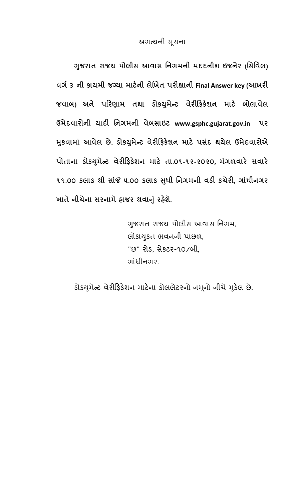## <u>અગત્યની સૂચના</u>

 **-જરાત રાજય પોલીસ આવાસ િનગમની મદદનીશ ઇજન ુ ેર (િસિવલ)**  વર્ગ-3 ની કાયમી જગ્યા માટેની લેખિત પરીક્ષાની Final Answer key (આખરી **જવાબ) અને પ'રણામ તથા ડોક+મુ ે,ટ વેર#'ફક શન માટ બોલાવેલ ઉમેદવારોની યાદ# િનગમની વેબસાઇટ www.gsphc.gujarat.gov.in પર /કવામાં આવ ુ ેલ છે. ડોક+મુ ે,ટ વેર#'ફક શન માટ પસંદ થયેલ ઉમેદવારોએ પોતાના ડોક+મુ ે,ટ વેર#'ફક શન માટ તા.૦૧-૧૨-૨૦૨૦, મંગળવાર સવાર**  ૧૧.૦૦ કલાક થી સાંજે ૫.૦૦ કલાક સુધી નિગમની વડી કચેરી, ગાંધીનગર **ખાતે નીચેના સરનામે હાજર થવા?ં રહ ુ શ ે.** 

> ગુજરાત રાજય પોલીસ આવાસ નિગમ, લોકાકત ભવનની પાછળ, ુ "છ" રોડ, સેકટર-૧૦/બી, ગાંધીનગર.

ડોકયુમેન્ટ વેરીફિકેશન માટેના કોલલેટરનો નમૂનો નીચે મુકેલ છે.